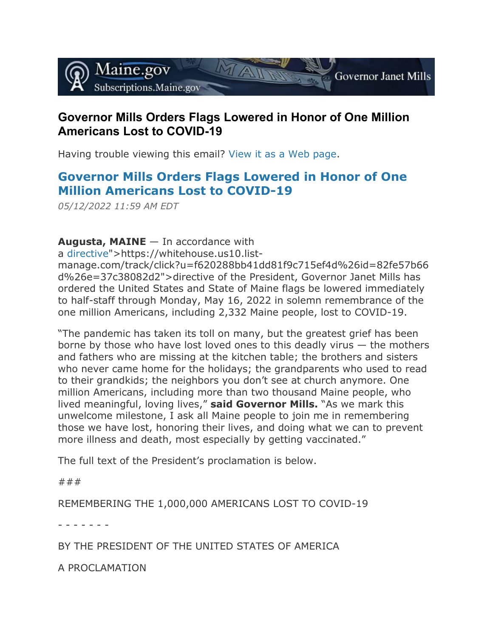

## **Governor Mills Orders Flags Lowered in Honor of One Million Americans Lost to COVID-19**

Having trouble viewing this email? [View it as a Web page.](https://content.govdelivery.com/accounts/MEGOV/bulletins/3178344)

## **[Governor Mills Orders Flags Lowered in Honor of One](http://www.maine.gov/tools/whatsnew/index.php?topic=Gov_Flag&id=7629848&v=article2019)  [Million Americans Lost to COVID-19](http://www.maine.gov/tools/whatsnew/index.php?topic=Gov_Flag&id=7629848&v=article2019)**

*05/12/2022 11:59 AM EDT*

**Augusta, MAINE** — In accordance with

a [directive"](https://content.govdelivery.com/accounts/MEGOV/bulletins/%3Ca%20href=)>https://whitehouse.us10.list-

manage.com/track/click?u=f620288bb41dd81f9c715ef4d%26id=82fe57b66 d%26e=37c38082d2">directive of the President, Governor Janet Mills has ordered the United States and State of Maine flags be lowered immediately to half-staff through Monday, May 16, 2022 in solemn remembrance of the one million Americans, including 2,332 Maine people, lost to COVID-19.

"The pandemic has taken its toll on many, but the greatest grief has been borne by those who have lost loved ones to this deadly virus — the mothers and fathers who are missing at the kitchen table; the brothers and sisters who never came home for the holidays; the grandparents who used to read to their grandkids; the neighbors you don't see at church anymore. One million Americans, including more than two thousand Maine people, who lived meaningful, loving lives," **said Governor Mills.** "As we mark this unwelcome milestone, I ask all Maine people to join me in remembering those we have lost, honoring their lives, and doing what we can to prevent more illness and death, most especially by getting vaccinated."

The full text of the President's proclamation is below.

###

REMEMBERING THE 1,000,000 AMERICANS LOST TO COVID-19

- - - - - - -

BY THE PRESIDENT OF THE UNITED STATES OF AMERICA

A PROCLAMATION